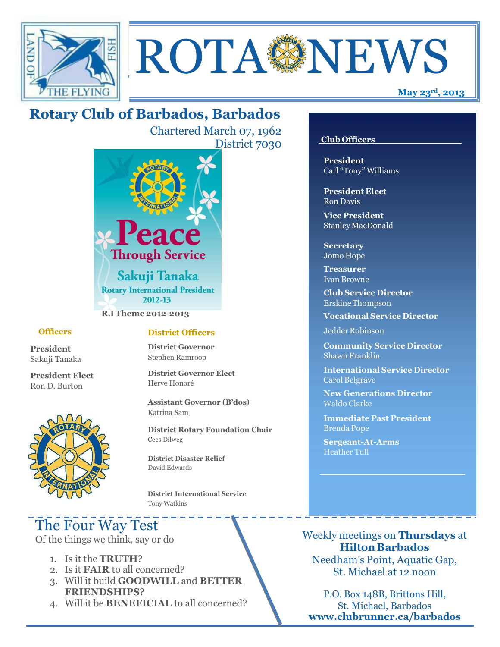



# **Rotary Club of Barbados, Barbados**

Chartered March 07, 1962 District 7030



**R.I Theme 2012-2013**

#### **Officers**

**President** Sakuji Tanaka

**President Elect** Ron D. Burton



#### **District Officers**

**District Governor** Stephen Ramroop

**District Governor Elect** Herve Honoré

**Assistant Governor (B'dos)** Katrina Sam

**District Rotary Foundation Chair** Cees Dilweg

**District Disaster Relief**  David Edwards

 **District International Service** Tony Watkins

# The Four Way Test

Of the things we think, say or do

- 1. Is it the **TRUTH**?
- 2. Is it **FAIR** to all concerned?
- 3. Will it build **GOODWILL** and **BETTER FRIENDSHIPS**?
- 4. Will it be **BENEFICIAL** to all concerned?

#### **Club Officers**

**President** Carl "Tony" Williams

**President Elect** Ron Davis

**Vice President** StanleyMacDonald

**Secretary** Jomo Hope

**Treasurer** Ivan Browne

**Club Service Director** Erskine Thompson

**Vocational Service Director**

Jedder Robinson

**Community Service Director** Shawn Franklin

**International Service Director** Carol Belgrave

**New Generations Director** Waldo Clarke

**Immediate Past President** Brenda Pope

**Sergeant-At-Arms** Heather Tull

Weekly meetings on **Thursdays** at **Hilton Barbados** Needham's Point, Aquatic Gap, St. Michael at 12 noon

P.O. Box 148B, Brittons Hill, St. Michael, Barbados **[www.clubrunner.ca/barbados](http://www.clubrunner.ca/barbados)**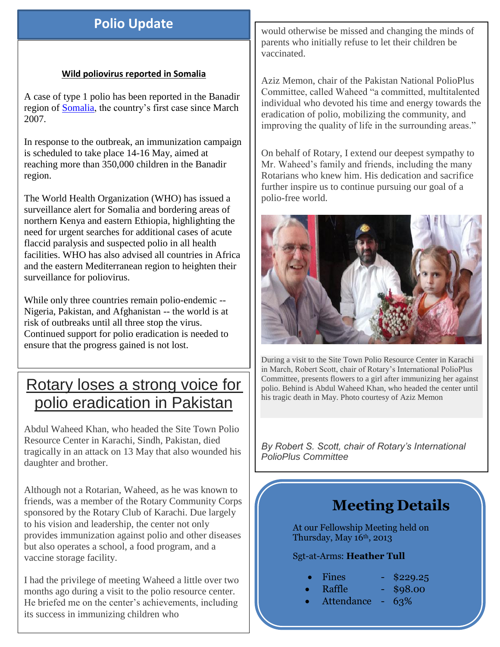# **Polio Update**

#### **Wild poliovirus reported in Somalia**

A case of type 1 polio has been reported in the Banadir region of [Somalia,](http://www.polioeradication.org/tabid/488/iid/293/Default.aspx) the country's first case since March 2007.

In response to the outbreak, an immunization campaign is scheduled to take place 14-16 May, aimed at reaching more than 350,000 children in the Banadir region.

The World Health Organization (WHO) has issued a surveillance alert for Somalia and bordering areas of northern Kenya and eastern Ethiopia, highlighting the need for urgent searches for additional cases of acute flaccid paralysis and suspected polio in all health facilities. WHO has also advised all countries in Africa and the eastern Mediterranean region to heighten their surveillance for poliovirus.

While only three countries remain polio-endemic -- Nigeria, Pakistan, and Afghanistan -- the world is at risk of outbreaks until all three stop the virus. Continued support for polio eradication is needed to ensure that the progress gained is not lost.

# Rotary loses a strong voice for polio eradication in Pakistan

Abdul Waheed Khan, who headed the Site Town Polio Resource Center in Karachi, Sindh, Pakistan, died tragically in an attack on 13 May that also wounded his daughter and brother.

Although not a Rotarian, Waheed, as he was known to friends, was a member of the Rotary Community Corps sponsored by the Rotary Club of Karachi. Due largely to his vision and leadership, the center not only provides immunization against polio and other diseases but also operates a school, a food program, and a vaccine storage facility.

I had the privilege of meeting Waheed a little over two months ago during a visit to the polio resource center. He briefed me on the center's achievements, including its success in immunizing children who

would otherwise be missed and changing the minds of parents who initially refuse to let their children be vaccinated.

Aziz Memon, chair of the Pakistan National PolioPlus Committee, called Waheed "a committed, multitalented individual who devoted his time and energy towards the eradication of polio, mobilizing the community, and improving the quality of life in the surrounding areas."

On behalf of Rotary, I extend our deepest sympathy to Mr. Waheed's family and friends, including the many Rotarians who knew him. His dedication and sacrifice further inspire us to continue pursuing our goal of a polio-free world.



During a visit to the Site Town Polio Resource Center in Karachi in March, Robert Scott, chair of Rotary's International PolioPlus Committee, presents flowers to a girl after immunizing her against polio. Behind is Abdul Waheed Khan, who headed the center until his tragic death in May. Photo courtesy of Aziz Memon

*By Robert S. Scott, chair of Rotary's International PolioPlus Committee*

# **Meeting Details**

At our Fellowship Meeting held on Thursday, May  $16<sup>th</sup>$ , 2013

### Sgt-at-Arms: **Heather Tull**

- Fines \$229.25
	- Raffle \$98.00
- Attendance 63%
- 
-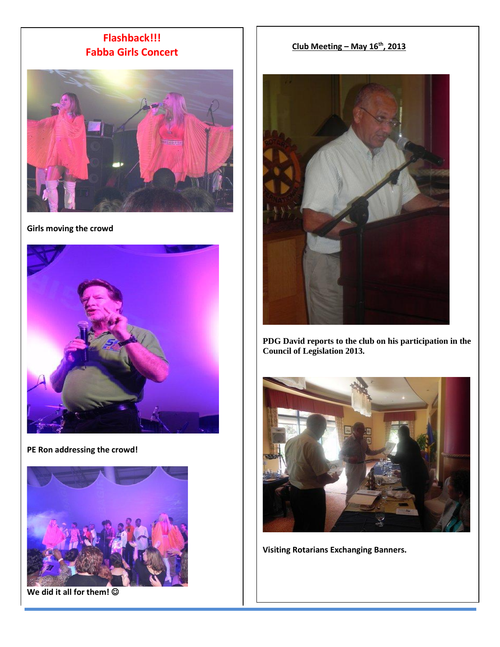## **Flashback!!! Fabba Girls Concert**



**Girls moving the crowd** 



**PE Ron addressing the crowd!**



**We did it all for them!** 

#### **Club Meeting – May 16th, 2013**



**PDG David reports to the club on his participation in the Council of Legislation 2013.**



**Visiting Rotarians Exchanging Banners.**